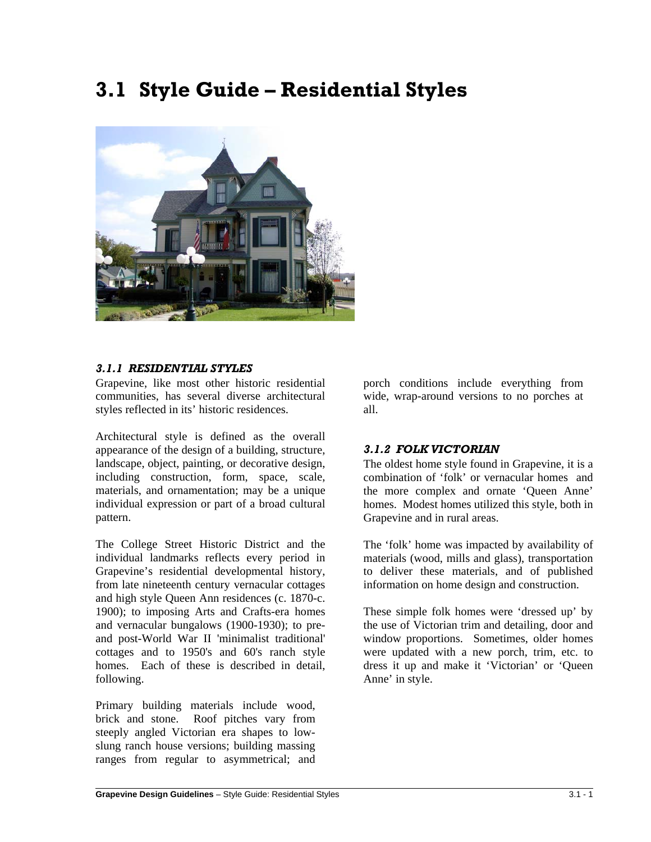# **3.1 Style Guide – Residential Styles**



## *3.1.1 RESIDENTIAL STYLES*

Grapevine, like most other historic residential communities, has several diverse architectural styles reflected in its' historic residences.

Architectural style is defined as the overall appearance of the design of a building, structure, landscape, object, painting, or decorative design, including construction, form, space, scale, materials, and ornamentation; may be a unique individual expression or part of a broad cultural pattern.

The College Street Historic District and the individual landmarks reflects every period in Grapevine's residential developmental history, from late nineteenth century vernacular cottages and high style Queen Ann residences (c. 1870-c. 1900); to imposing Arts and Crafts-era homes and vernacular bungalows (1900-1930); to preand post-World War II 'minimalist traditional' cottages and to 1950's and 60's ranch style homes. Each of these is described in detail, following.

Primary building materials include wood, brick and stone. Roof pitches vary from steeply angled Victorian era shapes to lowslung ranch house versions; building massing ranges from regular to asymmetrical; and porch conditions include everything from wide, wrap-around versions to no porches at all.

## *3.1.2 FOLK VICTORIAN*

The oldest home style found in Grapevine, it is a combination of 'folk' or vernacular homes and the more complex and ornate 'Queen Anne' homes. Modest homes utilized this style, both in Grapevine and in rural areas.

The 'folk' home was impacted by availability of materials (wood, mills and glass), transportation to deliver these materials, and of published information on home design and construction.

These simple folk homes were 'dressed up' by the use of Victorian trim and detailing, door and window proportions. Sometimes, older homes were updated with a new porch, trim, etc. to dress it up and make it 'Victorian' or 'Queen Anne' in style.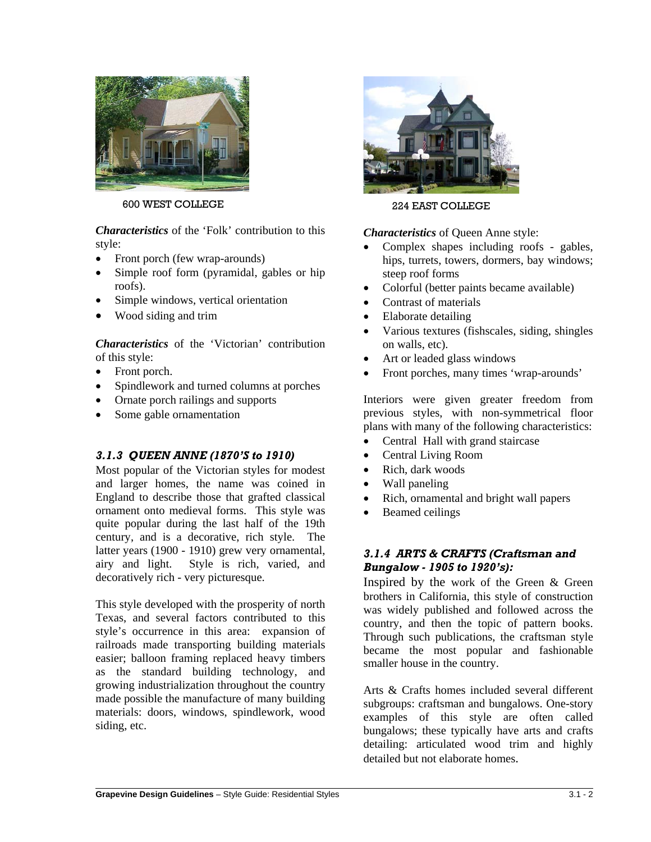

600 WEST COLLEGE

*Characteristics* of the 'Folk' contribution to this style:

- Front porch (few wrap-arounds)
- Simple roof form (pyramidal, gables or hip roofs).
- Simple windows, vertical orientation
- Wood siding and trim

*Characteristics* of the 'Victorian' contribution of this style:

- Front porch.
- Spindlework and turned columns at porches
- Ornate porch railings and supports
- Some gable ornamentation

## *3.1.3 QUEEN ANNE (1870'S to 1910)*

Most popular of the Victorian styles for modest and larger homes, the name was coined in England to describe those that grafted classical ornament onto medieval forms. This style was quite popular during the last half of the 19th century, and is a decorative, rich style. The latter years (1900 - 1910) grew very ornamental, airy and light. Style is rich, varied, and decoratively rich - very picturesque.

This style developed with the prosperity of north Texas, and several factors contributed to this style's occurrence in this area: expansion of railroads made transporting building materials easier; balloon framing replaced heavy timbers as the standard building technology, and growing industrialization throughout the country made possible the manufacture of many building materials: doors, windows, spindlework, wood siding, etc.



224 EAST COLLEGE

*Characteristics* of Queen Anne style:

- Complex shapes including roofs gables, hips, turrets, towers, dormers, bay windows; steep roof forms
- Colorful (better paints became available)
- Contrast of materials
- Elaborate detailing
- Various textures (fishscales, siding, shingles on walls, etc).
- Art or leaded glass windows
- Front porches, many times 'wrap-arounds'

Interiors were given greater freedom from previous styles, with non-symmetrical floor plans with many of the following characteristics:

- Central Hall with grand staircase
- Central Living Room
- Rich, dark woods
- Wall paneling
- Rich, ornamental and bright wall papers
- Beamed ceilings

## *3.1.4 ARTS & CRAFTS (Craftsman and Bungalow - 1905 to 1920's):*

Inspired by the work of the Green & Green brothers in California, this style of construction was widely published and followed across the country, and then the topic of pattern books. Through such publications, the craftsman style became the most popular and fashionable smaller house in the country.

Arts & Crafts homes included several different subgroups: craftsman and bungalows. One-story examples of this style are often called bungalows; these typically have arts and crafts detailing: articulated wood trim and highly detailed but not elaborate homes.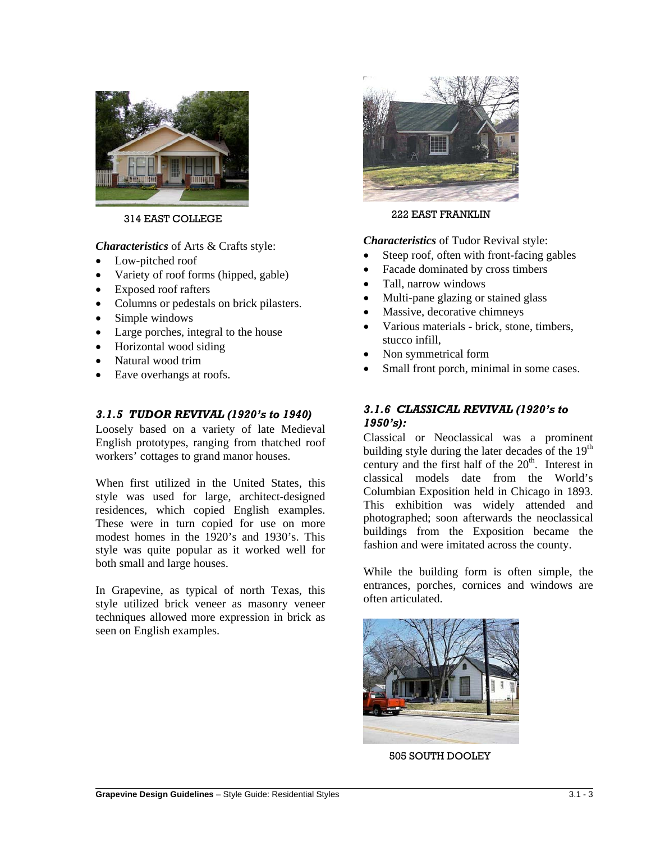

#### 314 EAST COLLEGE

*Characteristics* of Arts & Crafts style:

- Low-pitched roof
- Variety of roof forms (hipped, gable)
- Exposed roof rafters
- Columns or pedestals on brick pilasters.
- Simple windows
- Large porches, integral to the house
- Horizontal wood siding
- Natural wood trim
- Eave overhangs at roofs.

## *3.1.5 TUDOR REVIVAL (1920's to 1940)*

Loosely based on a variety of late Medieval English prototypes, ranging from thatched roof workers' cottages to grand manor houses.

When first utilized in the United States, this style was used for large, architect-designed residences, which copied English examples. These were in turn copied for use on more modest homes in the 1920's and 1930's. This style was quite popular as it worked well for both small and large houses.

In Grapevine, as typical of north Texas, this style utilized brick veneer as masonry veneer techniques allowed more expression in brick as seen on English examples.



222 EAST FRANKLIN

#### *Characteristics* of Tudor Revival style:

- Steep roof, often with front-facing gables
- Facade dominated by cross timbers
- Tall, narrow windows
- Multi-pane glazing or stained glass
- Massive, decorative chimneys
- Various materials brick, stone, timbers, stucco infill,
- Non symmetrical form
- Small front porch, minimal in some cases.

## *3.1.6 CLASSICAL REVIVAL (1920's to 1950's):*

Classical or Neoclassical was a prominent building style during the later decades of the  $19<sup>th</sup>$ century and the first half of the  $20<sup>th</sup>$ . Interest in classical models date from the World's Columbian Exposition held in Chicago in 1893. This exhibition was widely attended and photographed; soon afterwards the neoclassical buildings from the Exposition became the fashion and were imitated across the county.

While the building form is often simple, the entrances, porches, cornices and windows are often articulated.



505 SOUTH DOOLEY